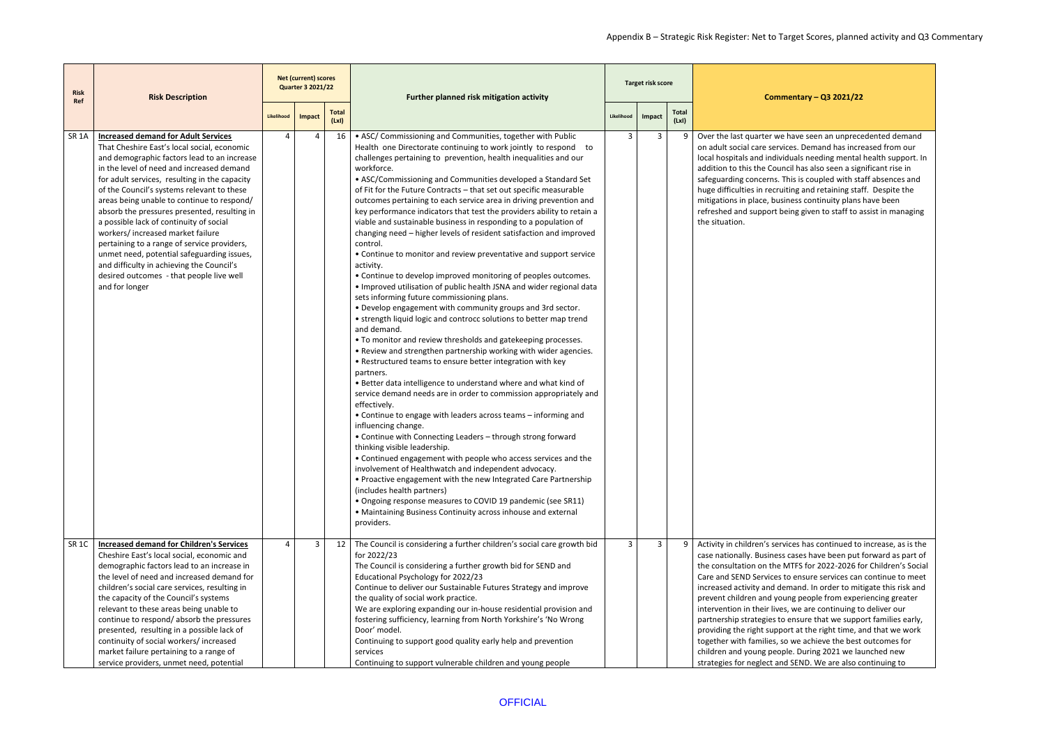have seen an unprecedented demand ces. Demand has increased from our luals needing mental health support. In cil has also seen a significant rise in his is coupled with staff absences and ting and retaining staff. Despite the ness continuity plans have been eing given to staff to assist in managing

ces has continued to increase, as is the cases have been put forward as part of ATFS for 2022-2026 for Children's Social ensure services can continue to meet mand. In order to mitigate this risk and ng people from experiencing greater , we are continuing to deliver our ensure that we support families early, prt at the right time, and that we work together with families outcomes for le. During 2021 we launched new I SEND. We are also continuing to

| <b>Risk</b><br>Ref | <b>Risk Description</b>                                                                                                                                                                                                                                                                                                                                                                                                                                                                                                                                                                                                                                                    |            | <b>Net (current) scores</b><br><b>Quarter 3 2021/22</b> |                      | Further planned risk mitigation activity                                                                                                                                                                                                                                                                                                                                                                                                                                                                                                                                                                                                                                                                                                                                                                                                                                                                                                                                                                                                                                                                                                                                                                                                                                                                                                                                                                                                                                                                                                                                                                                                                                                                                                                                                                                                                                                                                                                                                                                           |            | Target risk score |               | Commo                                                                                                                                                                                                                                                                                                                                                                   |
|--------------------|----------------------------------------------------------------------------------------------------------------------------------------------------------------------------------------------------------------------------------------------------------------------------------------------------------------------------------------------------------------------------------------------------------------------------------------------------------------------------------------------------------------------------------------------------------------------------------------------------------------------------------------------------------------------------|------------|---------------------------------------------------------|----------------------|------------------------------------------------------------------------------------------------------------------------------------------------------------------------------------------------------------------------------------------------------------------------------------------------------------------------------------------------------------------------------------------------------------------------------------------------------------------------------------------------------------------------------------------------------------------------------------------------------------------------------------------------------------------------------------------------------------------------------------------------------------------------------------------------------------------------------------------------------------------------------------------------------------------------------------------------------------------------------------------------------------------------------------------------------------------------------------------------------------------------------------------------------------------------------------------------------------------------------------------------------------------------------------------------------------------------------------------------------------------------------------------------------------------------------------------------------------------------------------------------------------------------------------------------------------------------------------------------------------------------------------------------------------------------------------------------------------------------------------------------------------------------------------------------------------------------------------------------------------------------------------------------------------------------------------------------------------------------------------------------------------------------------------|------------|-------------------|---------------|-------------------------------------------------------------------------------------------------------------------------------------------------------------------------------------------------------------------------------------------------------------------------------------------------------------------------------------------------------------------------|
|                    |                                                                                                                                                                                                                                                                                                                                                                                                                                                                                                                                                                                                                                                                            | Likelihood | Impact                                                  | <b>Total</b><br>(Lx) |                                                                                                                                                                                                                                                                                                                                                                                                                                                                                                                                                                                                                                                                                                                                                                                                                                                                                                                                                                                                                                                                                                                                                                                                                                                                                                                                                                                                                                                                                                                                                                                                                                                                                                                                                                                                                                                                                                                                                                                                                                    | Likelihood | Impact            | Total<br>(Lx) |                                                                                                                                                                                                                                                                                                                                                                         |
| SR <sub>1</sub> A  | <b>Increased demand for Adult Services</b><br>That Cheshire East's local social, economic<br>and demographic factors lead to an increase<br>in the level of need and increased demand<br>for adult services, resulting in the capacity<br>of the Council's systems relevant to these<br>areas being unable to continue to respond/<br>absorb the pressures presented, resulting in<br>a possible lack of continuity of social<br>workers/ increased market failure<br>pertaining to a range of service providers,<br>unmet need, potential safeguarding issues,<br>and difficulty in achieving the Council's<br>desired outcomes - that people live well<br>and for longer | 4          | 4                                                       | 16                   | • ASC/ Commissioning and Communities, together with Public<br>Health one Directorate continuing to work jointly to respond to<br>challenges pertaining to prevention, health inequalities and our<br>workforce.<br>• ASC/Commissioning and Communities developed a Standard Set<br>of Fit for the Future Contracts - that set out specific measurable<br>outcomes pertaining to each service area in driving prevention and<br>key performance indicators that test the providers ability to retain a<br>viable and sustainable business in responding to a population of<br>changing need - higher levels of resident satisfaction and improved<br>control.<br>• Continue to monitor and review preventative and support service<br>activity.<br>• Continue to develop improved monitoring of peoples outcomes.<br>. Improved utilisation of public health JSNA and wider regional data<br>sets informing future commissioning plans.<br>. Develop engagement with community groups and 3rd sector.<br>• strength liquid logic and controcc solutions to better map trend<br>and demand.<br>• To monitor and review thresholds and gatekeeping processes.<br>. Review and strengthen partnership working with wider agencies.<br>• Restructured teams to ensure better integration with key<br>partners.<br>. Better data intelligence to understand where and what kind of<br>service demand needs are in order to commission appropriately and<br>effectively.<br>• Continue to engage with leaders across teams - informing and<br>influencing change.<br>• Continue with Connecting Leaders - through strong forward<br>thinking visible leadership.<br>• Continued engagement with people who access services and the<br>involvement of Healthwatch and independent advocacy.<br>• Proactive engagement with the new Integrated Care Partnership<br>(includes health partners)<br>• Ongoing response measures to COVID 19 pandemic (see SR11)<br>• Maintaining Business Continuity across inhouse and external<br>providers. | 3          | 3                 | 9             | Over the last quarter we h<br>on adult social care service<br>local hospitals and individ<br>addition to this the Counc<br>safeguarding concerns. Th<br>huge difficulties in recruiti<br>mitigations in place, busin<br>refreshed and support bei<br>the situation.                                                                                                     |
| SR <sub>1C</sub>   | <b>Increased demand for Children's Services</b><br>Cheshire East's local social, economic and<br>demographic factors lead to an increase in<br>the level of need and increased demand for<br>children's social care services, resulting in<br>the capacity of the Council's systems<br>relevant to these areas being unable to<br>continue to respond/absorb the pressures<br>presented, resulting in a possible lack of<br>continuity of social workers/ increased<br>market failure pertaining to a range of<br>service providers, unmet need, potential                                                                                                                 | 4          | 3                                                       | 12                   | The Council is considering a further children's social care growth bid<br>for 2022/23<br>The Council is considering a further growth bid for SEND and<br>Educational Psychology for 2022/23<br>Continue to deliver our Sustainable Futures Strategy and improve<br>the quality of social work practice.<br>We are exploring expanding our in-house residential provision and<br>fostering sufficiency, learning from North Yorkshire's 'No Wrong<br>Door' model.<br>Continuing to support good quality early help and prevention<br>services<br>Continuing to support vulnerable children and young people                                                                                                                                                                                                                                                                                                                                                                                                                                                                                                                                                                                                                                                                                                                                                                                                                                                                                                                                                                                                                                                                                                                                                                                                                                                                                                                                                                                                                         | 3          | $\mathbf{3}$      | 9             | Activity in children's servid<br>case nationally. Business o<br>the consultation on the M<br>Care and SEND Services to<br>increased activity and den<br>prevent children and your<br>intervention in their lives,<br>partnership strategies to e<br>providing the right suppor<br>together with families, so<br>children and young people<br>strategies for neglect and |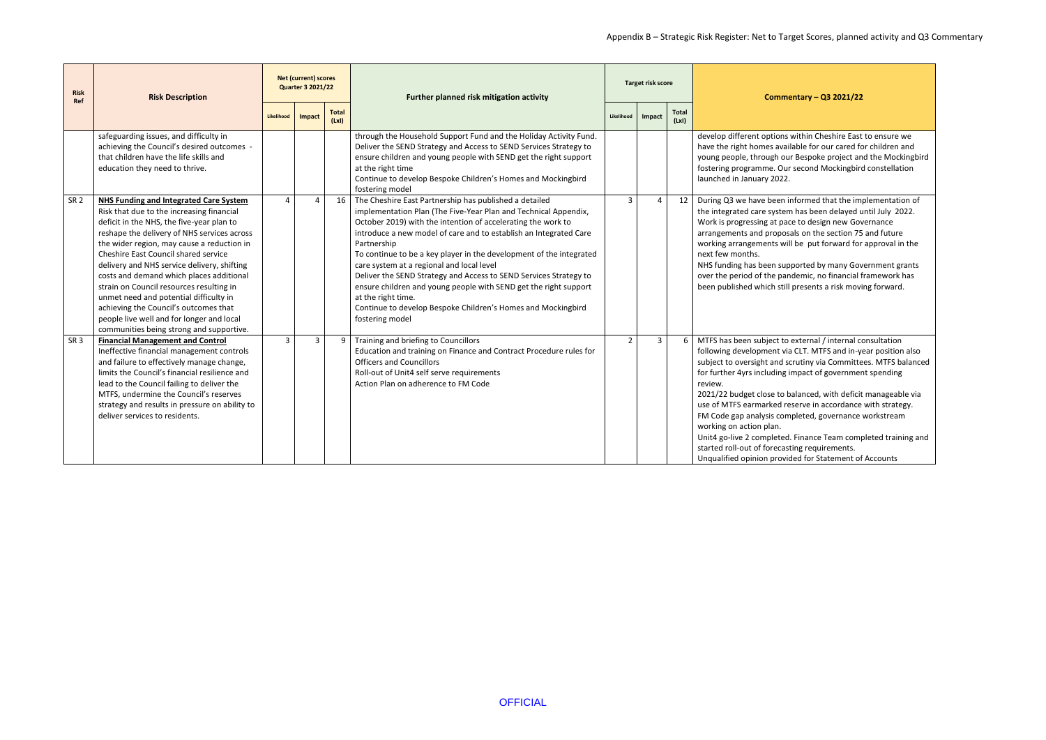## Appendix B – Strategic Risk Register: Net to Target Scores, planned activity and Q3 Commentary

## **Commentary – Q3 2021/22**

within Cheshire East to ensure we lable for our cared for children and Ir Bespoke project and the Mockingbird r second Mockingbird constellation

nformed that the implementation of m has been delayed until July 2022. ce to design new Governance als on the section 75 and future I be put forward for approval in the

ported by many Government grants demic, no financial framework has presents a risk moving forward.

external / internal consultation a CLT. MTFS and in-year position also crutiny via Committees. MTFS balanced impact of government spending

alanced, with deficit manageable via eserve in accordance with strategy. npleted, governance workstream

. Finance Team completed training and ting requirements. ded for Statement of Accounts

| <b>Risk</b><br>Ref | <b>Risk Description</b>                                                                                                                                                                                                                                                                                                                                                                                                                                                                                                                                                                         | <b>Net (current) scores</b><br><b>Quarter 3 2021/22</b> |        |                       | Further planned risk mitigation activity                                                                                                                                                                                                                                                                                                                                                                                                                                                                                                                                                                                                            |                | <b>Target risk score</b> |                       | Comme                                                                                                                                                                                                                                                                                                                                        |
|--------------------|-------------------------------------------------------------------------------------------------------------------------------------------------------------------------------------------------------------------------------------------------------------------------------------------------------------------------------------------------------------------------------------------------------------------------------------------------------------------------------------------------------------------------------------------------------------------------------------------------|---------------------------------------------------------|--------|-----------------------|-----------------------------------------------------------------------------------------------------------------------------------------------------------------------------------------------------------------------------------------------------------------------------------------------------------------------------------------------------------------------------------------------------------------------------------------------------------------------------------------------------------------------------------------------------------------------------------------------------------------------------------------------------|----------------|--------------------------|-----------------------|----------------------------------------------------------------------------------------------------------------------------------------------------------------------------------------------------------------------------------------------------------------------------------------------------------------------------------------------|
|                    |                                                                                                                                                                                                                                                                                                                                                                                                                                                                                                                                                                                                 | Likelihood                                              | Impact | <b>Total</b><br>(LxI) |                                                                                                                                                                                                                                                                                                                                                                                                                                                                                                                                                                                                                                                     |                | Impact                   | <b>Total</b><br>(LxI) |                                                                                                                                                                                                                                                                                                                                              |
|                    | safeguarding issues, and difficulty in<br>achieving the Council's desired outcomes -<br>that children have the life skills and<br>education they need to thrive.                                                                                                                                                                                                                                                                                                                                                                                                                                |                                                         |        |                       | through the Household Support Fund and the Holiday Activity Fund.<br>Deliver the SEND Strategy and Access to SEND Services Strategy to<br>ensure children and young people with SEND get the right support<br>at the right time<br>Continue to develop Bespoke Children's Homes and Mockingbird<br>fostering model                                                                                                                                                                                                                                                                                                                                  |                |                          |                       | develop different options<br>have the right homes avail<br>young people, through ou<br>fostering programme. Our<br>launched in January 2022.                                                                                                                                                                                                 |
| SR <sub>2</sub>    | <b>NHS Funding and Integrated Care System</b><br>Risk that due to the increasing financial<br>deficit in the NHS, the five-year plan to<br>reshape the delivery of NHS services across<br>the wider region, may cause a reduction in<br>Cheshire East Council shared service<br>delivery and NHS service delivery, shifting<br>costs and demand which places additional<br>strain on Council resources resulting in<br>unmet need and potential difficulty in<br>achieving the Council's outcomes that<br>people live well and for longer and local<br>communities being strong and supportive. | $\overline{4}$                                          | 4      | 16                    | The Cheshire East Partnership has published a detailed<br>implementation Plan (The Five-Year Plan and Technical Appendix,<br>October 2019) with the intention of accelerating the work to<br>introduce a new model of care and to establish an Integrated Care<br>Partnership<br>To continue to be a key player in the development of the integrated<br>care system at a regional and local level<br>Deliver the SEND Strategy and Access to SEND Services Strategy to<br>ensure children and young people with SEND get the right support<br>at the right time.<br>Continue to develop Bespoke Children's Homes and Mockingbird<br>fostering model | $\overline{3}$ | 4                        | 12                    | During Q3 we have been in<br>the integrated care system<br>Work is progressing at pac<br>arrangements and proposa<br>working arrangements will<br>next few months.<br>NHS funding has been sup<br>over the period of the pan<br>been published which still                                                                                   |
| SR <sub>3</sub>    | <b>Financial Management and Control</b><br>Ineffective financial management controls<br>and failure to effectively manage change,<br>limits the Council's financial resilience and<br>lead to the Council failing to deliver the<br>MTFS, undermine the Council's reserves<br>strategy and results in pressure on ability to<br>deliver services to residents.                                                                                                                                                                                                                                  | $\overline{3}$                                          | 3      | 9                     | Training and briefing to Councillors<br>Education and training on Finance and Contract Procedure rules for<br><b>Officers and Councillors</b><br>Roll-out of Unit4 self serve requirements<br>Action Plan on adherence to FM Code                                                                                                                                                                                                                                                                                                                                                                                                                   | $\overline{2}$ | 3                        | 6                     | MTFS has been subject to<br>following development via<br>subject to oversight and so<br>for further 4yrs including in<br>review.<br>2021/22 budget close to b<br>use of MTFS earmarked re<br>FM Code gap analysis com<br>working on action plan.<br>Unit4 go-live 2 completed.<br>started roll-out of forecast<br>Unqualified opinion provic |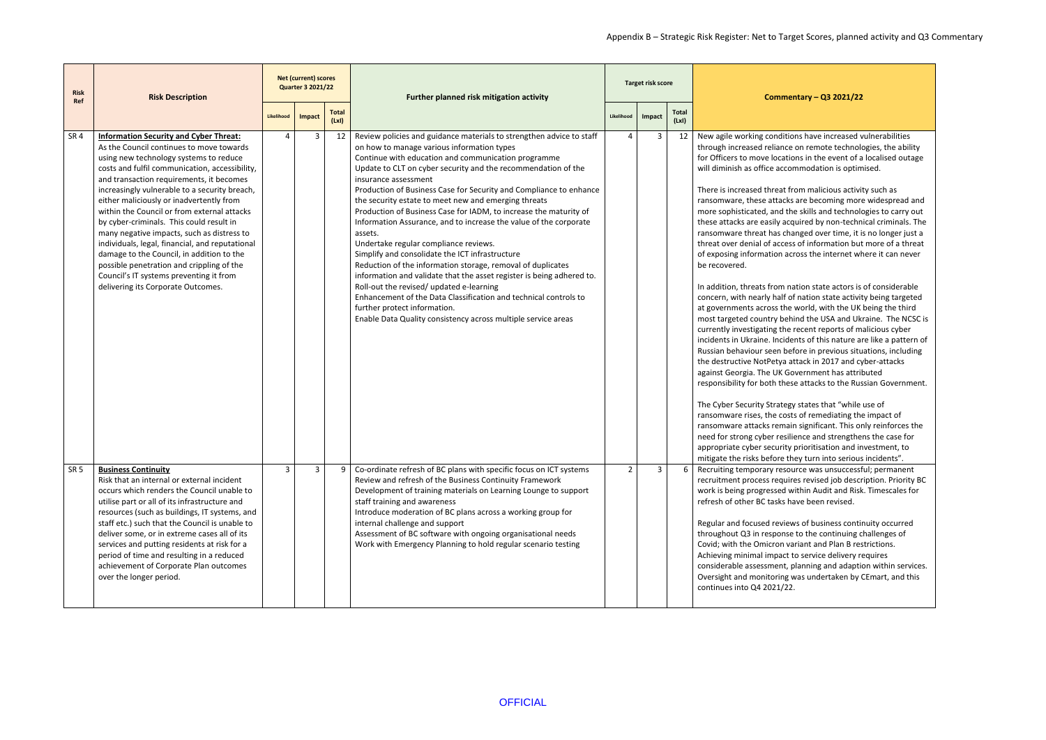ions have increased vulnerabilities e on remote technologies, the ability ions in the event of a localised outage ommodation is optimised.

from malicious activity such as s are becoming more widespread and he skills and technologies to carry out quired by non-technical criminals. The ranged over time, it is no longer just a ss of information but more of a threat cross the internet where it can never

nation state actors is of considerable of nation state activity being targeted at world, with the UK being the third hind the USA and Ukraine. The NCSC is e recent reports of malicious cyber ents of this nature are like a pattern of efore in previous situations, including attack in 2017 and cyber-attacks iovernment has attributed ese attacks to the Russian Government.

gy states that "while use of sts of remediating the impact of in significant. This only reinforces the lience and strengthens the case for y prioritisation and investment, to hey turn into serious incidents". ource was unsuccessful; permanent res revised job description. Priority BC within Audit and Risk. Timescales for nave been revised.

ws of business continuity occurred throughout as is entinuing challenges of variant and Plan B restrictions. to service delivery requires planning and adaption within services. was undertaken by CEmart, and this

| <b>Risk</b><br>Ref | <b>Risk Description</b>                                                                                                                                                                                                                                                                                                                                                                                                                                                                                                                                                                                                                                                                               | <b>Net (current) scores</b><br><b>Quarter 3 2021/22</b> |        |                      | Further planned risk mitigation activity                                                                                                                                                                                                                                                                                                                                                                                                                                                                                                                                                                                                                                                                                                                                                                                                                                                                                                                                                                   |                | Target risk score |                      | Commeı                                                                                                                                                                                                                                                                                                                                                                                                                                                                                                                                                                                                                                                                                                                                                                                                                                                                            |
|--------------------|-------------------------------------------------------------------------------------------------------------------------------------------------------------------------------------------------------------------------------------------------------------------------------------------------------------------------------------------------------------------------------------------------------------------------------------------------------------------------------------------------------------------------------------------------------------------------------------------------------------------------------------------------------------------------------------------------------|---------------------------------------------------------|--------|----------------------|------------------------------------------------------------------------------------------------------------------------------------------------------------------------------------------------------------------------------------------------------------------------------------------------------------------------------------------------------------------------------------------------------------------------------------------------------------------------------------------------------------------------------------------------------------------------------------------------------------------------------------------------------------------------------------------------------------------------------------------------------------------------------------------------------------------------------------------------------------------------------------------------------------------------------------------------------------------------------------------------------------|----------------|-------------------|----------------------|-----------------------------------------------------------------------------------------------------------------------------------------------------------------------------------------------------------------------------------------------------------------------------------------------------------------------------------------------------------------------------------------------------------------------------------------------------------------------------------------------------------------------------------------------------------------------------------------------------------------------------------------------------------------------------------------------------------------------------------------------------------------------------------------------------------------------------------------------------------------------------------|
|                    |                                                                                                                                                                                                                                                                                                                                                                                                                                                                                                                                                                                                                                                                                                       | Likelihood                                              | Impact | <b>Total</b><br>(Lx) |                                                                                                                                                                                                                                                                                                                                                                                                                                                                                                                                                                                                                                                                                                                                                                                                                                                                                                                                                                                                            | Likelihood     | Impact            | <b>Total</b><br>(Lx) |                                                                                                                                                                                                                                                                                                                                                                                                                                                                                                                                                                                                                                                                                                                                                                                                                                                                                   |
| SR <sub>4</sub>    | <b>Information Security and Cyber Threat:</b><br>As the Council continues to move towards<br>using new technology systems to reduce<br>costs and fulfil communication, accessibility,<br>and transaction requirements, it becomes<br>increasingly vulnerable to a security breach,<br>either maliciously or inadvertently from<br>within the Council or from external attacks<br>by cyber-criminals. This could result in<br>many negative impacts, such as distress to<br>individuals, legal, financial, and reputational<br>damage to the Council, in addition to the<br>possible penetration and crippling of the<br>Council's IT systems preventing it from<br>delivering its Corporate Outcomes. |                                                         | 3      | 12                   | Review policies and guidance materials to strengthen advice to staff<br>on how to manage various information types<br>Continue with education and communication programme<br>Update to CLT on cyber security and the recommendation of the<br>insurance assessment<br>Production of Business Case for Security and Compliance to enhance<br>the security estate to meet new and emerging threats<br>Production of Business Case for IADM, to increase the maturity of<br>Information Assurance, and to increase the value of the corporate<br>assets.<br>Undertake regular compliance reviews.<br>Simplify and consolidate the ICT infrastructure<br>Reduction of the information storage, removal of duplicates<br>information and validate that the asset register is being adhered to.<br>Roll-out the revised/ updated e-learning<br>Enhancement of the Data Classification and technical controls to<br>further protect information.<br>Enable Data Quality consistency across multiple service areas | 4              | 3                 | -12                  | New agile working conditio<br>through increased reliance<br>for Officers to move locatio<br>will diminish as office accor<br>There is increased threat fre<br>ransomware, these attacks<br>more sophisticated, and the<br>these attacks are easily acq<br>ransomware threat has cha<br>threat over denial of access<br>of exposing information acr<br>be recovered.<br>In addition, threats from na<br>concern, with nearly half of<br>at governments across the<br>most targeted country behi<br>currently investigating the<br>incidents in Ukraine. Incide<br>Russian behaviour seen bef<br>the destructive NotPetya at<br>against Georgia. The UK Go<br>responsibility for both thes<br>The Cyber Security Strategy<br>ransomware rises, the cost<br>ransomware attacks remain<br>need for strong cyber resilio<br>appropriate cyber security<br>mitigate the risks before th |
| SR <sub>5</sub>    | <b>Business Continuity</b><br>Risk that an internal or external incident<br>occurs which renders the Council unable to<br>utilise part or all of its infrastructure and<br>resources (such as buildings, IT systems, and<br>staff etc.) such that the Council is unable to<br>deliver some, or in extreme cases all of its<br>services and putting residents at risk for a<br>period of time and resulting in a reduced<br>achievement of Corporate Plan outcomes<br>over the longer period.                                                                                                                                                                                                          | 3                                                       | 3      | 9                    | Co-ordinate refresh of BC plans with specific focus on ICT systems<br>Review and refresh of the Business Continuity Framework<br>Development of training materials on Learning Lounge to support<br>staff training and awareness<br>Introduce moderation of BC plans across a working group for<br>internal challenge and support<br>Assessment of BC software with ongoing organisational needs<br>Work with Emergency Planning to hold regular scenario testing                                                                                                                                                                                                                                                                                                                                                                                                                                                                                                                                          | $\overline{2}$ | $\mathbf{3}$      | 6                    | Recruiting temporary resou<br>recruitment process require<br>work is being progressed w<br>refresh of other BC tasks ha<br>Regular and focused review<br>throughout Q3 in response<br>Covid; with the Omicron va<br>Achieving minimal impact t<br>considerable assessment, p<br>Oversight and monitoring v<br>continues into Q4 2021/22.                                                                                                                                                                                                                                                                                                                                                                                                                                                                                                                                          |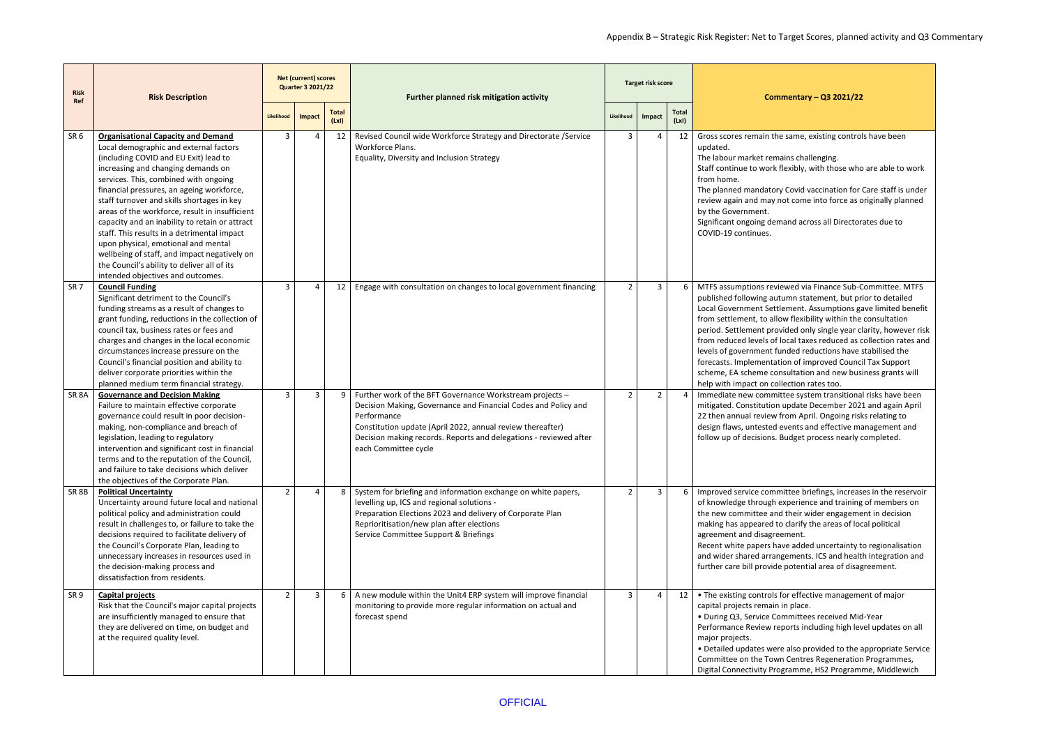| <b>Risk</b><br>Ref | <b>Risk Description</b>                                                                                                                                                                                                                                                                                                                                                                                                                                                                                                                                                                                                              |                | <b>Net (current) scores</b><br><b>Quarter 3 2021/22</b> |                      | Further planned risk mitigation activity                                                                                                                                                                                                                                                             |                | <b>Target risk score</b> |                      | Commentary - Q3 2021/22                                                                                                                                                                                                                                                                                                                                                                                                                                                                                                                                                                                                                       |
|--------------------|--------------------------------------------------------------------------------------------------------------------------------------------------------------------------------------------------------------------------------------------------------------------------------------------------------------------------------------------------------------------------------------------------------------------------------------------------------------------------------------------------------------------------------------------------------------------------------------------------------------------------------------|----------------|---------------------------------------------------------|----------------------|------------------------------------------------------------------------------------------------------------------------------------------------------------------------------------------------------------------------------------------------------------------------------------------------------|----------------|--------------------------|----------------------|-----------------------------------------------------------------------------------------------------------------------------------------------------------------------------------------------------------------------------------------------------------------------------------------------------------------------------------------------------------------------------------------------------------------------------------------------------------------------------------------------------------------------------------------------------------------------------------------------------------------------------------------------|
|                    |                                                                                                                                                                                                                                                                                                                                                                                                                                                                                                                                                                                                                                      | Likelihood     | Impact                                                  | <b>Total</b><br>(Lx) |                                                                                                                                                                                                                                                                                                      | Likelihood     | Impact                   | <b>Total</b><br>(Lx) |                                                                                                                                                                                                                                                                                                                                                                                                                                                                                                                                                                                                                                               |
| SR <sub>6</sub>    | <b>Organisational Capacity and Demand</b><br>Local demographic and external factors<br>(including COVID and EU Exit) lead to<br>increasing and changing demands on<br>services. This, combined with ongoing<br>financial pressures, an ageing workforce,<br>staff turnover and skills shortages in key<br>areas of the workforce, result in insufficient<br>capacity and an inability to retain or attract<br>staff. This results in a detrimental impact<br>upon physical, emotional and mental<br>wellbeing of staff, and impact negatively on<br>the Council's ability to deliver all of its<br>intended objectives and outcomes. | $\overline{3}$ |                                                         | 12                   | Revised Council wide Workforce Strategy and Directorate /Service<br>Workforce Plans.<br>Equality, Diversity and Inclusion Strategy                                                                                                                                                                   | 3              | $\overline{4}$           | 12                   | Gross scores remain the same, existing controls have been<br>updated.<br>The labour market remains challenging.<br>Staff continue to work flexibly, with those who are able to work<br>from home.<br>The planned mandatory Covid vaccination for Care staff is under<br>review again and may not come into force as originally planned<br>by the Government.<br>Significant ongoing demand across all Directorates due to<br>COVID-19 continues.                                                                                                                                                                                              |
| SR <sub>7</sub>    | <b>Council Funding</b><br>Significant detriment to the Council's<br>funding streams as a result of changes to<br>grant funding, reductions in the collection of<br>council tax, business rates or fees and<br>charges and changes in the local economic<br>circumstances increase pressure on the<br>Council's financial position and ability to<br>deliver corporate priorities within the<br>planned medium term financial strategy.                                                                                                                                                                                               | $\mathbf{3}$   |                                                         | 12                   | Engage with consultation on changes to local government financing                                                                                                                                                                                                                                    | $\overline{2}$ | 3                        | 6                    | MTFS assumptions reviewed via Finance Sub-Committee. MTFS<br>published following autumn statement, but prior to detailed<br>Local Government Settlement. Assumptions gave limited benefit<br>from settlement, to allow flexibility within the consultation<br>period. Settlement provided only single year clarity, however risk<br>from reduced levels of local taxes reduced as collection rates and<br>levels of government funded reductions have stabilised the<br>forecasts. Implementation of improved Council Tax Support<br>scheme, EA scheme consultation and new business grants will<br>help with impact on collection rates too. |
| SR <sub>8A</sub>   | <b>Governance and Decision Making</b><br>Failure to maintain effective corporate<br>governance could result in poor decision-<br>making, non-compliance and breach of<br>legislation, leading to regulatory<br>intervention and significant cost in financial<br>terms and to the reputation of the Council,<br>and failure to take decisions which deliver<br>the objectives of the Corporate Plan.                                                                                                                                                                                                                                 | $\mathbf{3}$   | 3                                                       | 9                    | Further work of the BFT Governance Workstream projects -<br>Decision Making, Governance and Financial Codes and Policy and<br>Performance<br>Constitution update (April 2022, annual review thereafter)<br>Decision making records. Reports and delegations - reviewed after<br>each Committee cycle | $\overline{2}$ | $\overline{2}$           |                      | Immediate new committee system transitional risks have been<br>mitigated. Constitution update December 2021 and again April<br>22 then annual review from April. Ongoing risks relating to<br>design flaws, untested events and effective management and<br>follow up of decisions. Budget process nearly completed.                                                                                                                                                                                                                                                                                                                          |
| SR 8B              | <b>Political Uncertainty</b><br>Uncertainty around future local and national<br>political policy and administration could<br>result in challenges to, or failure to take the<br>decisions required to facilitate delivery of<br>the Council's Corporate Plan, leading to<br>unnecessary increases in resources used in<br>the decision-making process and<br>dissatisfaction from residents.                                                                                                                                                                                                                                         | $\overline{2}$ |                                                         |                      | 8 System for briefing and information exchange on white papers,<br>levelling up, ICS and regional solutions -<br>Preparation Elections 2023 and delivery of Corporate Plan<br>Reprioritisation/new plan after elections<br>Service Committee Support & Briefings                                     | 2              | 3                        | 6                    | Improved service committee briefings, increases in the reservoir<br>of knowledge through experience and training of members on<br>the new committee and their wider engagement in decision<br>making has appeared to clarify the areas of local political<br>agreement and disagreement.<br>Recent white papers have added uncertainty to regionalisation<br>and wider shared arrangements. ICS and health integration and<br>further care bill provide potential area of disagreement.                                                                                                                                                       |
| SR <sub>9</sub>    | <b>Capital projects</b><br>Risk that the Council's major capital projects<br>are insufficiently managed to ensure that<br>they are delivered on time, on budget and<br>at the required quality level.                                                                                                                                                                                                                                                                                                                                                                                                                                | $\overline{2}$ | 3                                                       | 6                    | A new module within the Unit4 ERP system will improve financial<br>monitoring to provide more regular information on actual and<br>forecast spend                                                                                                                                                    | $\overline{3}$ | $\overline{4}$           | 12 <sup>1</sup>      | • The existing controls for effective management of major<br>capital projects remain in place.<br>• During Q3, Service Committees received Mid-Year<br>Performance Review reports including high level updates on all<br>major projects.<br>• Detailed updates were also provided to the appropriate Service<br>Committee on the Town Centres Regeneration Programmes,<br>Digital Connectivity Programme, HS2 Programme, Middlewich                                                                                                                                                                                                           |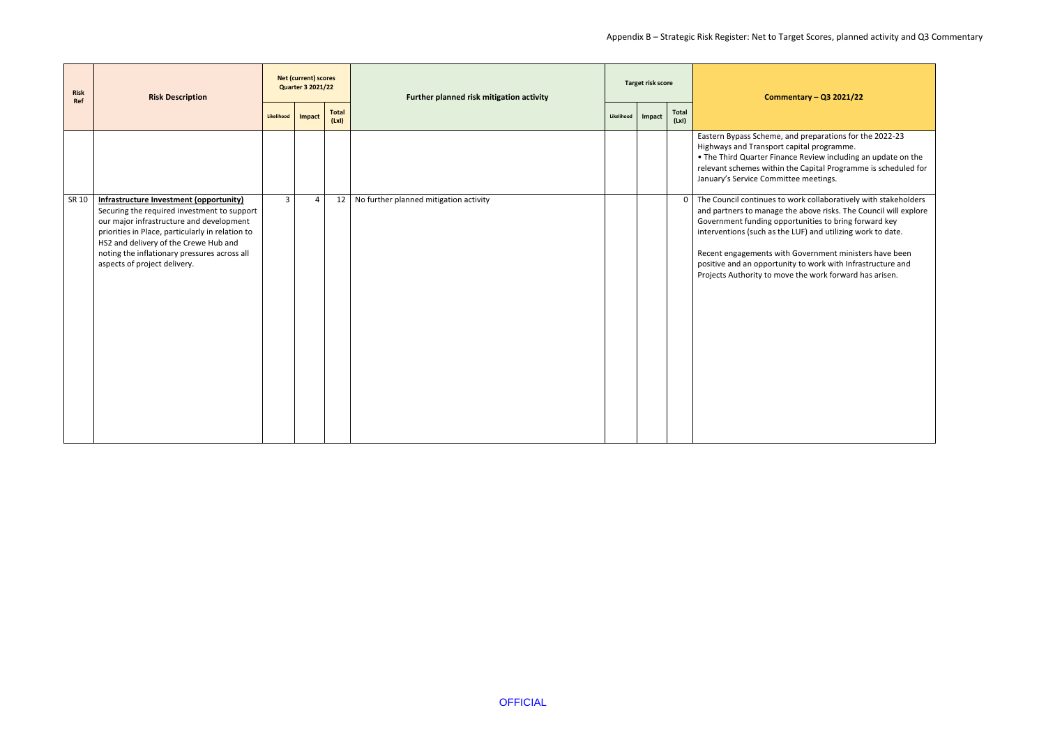nd preparations for the 2022-23 apital programme.

e Review including an update on the he Capital Programme is scheduled for tee meetings.

work collaboratively with stakeholders he above risks. The Council will explore ortunities to bring forward key I LUF) and utilizing work to date.

Government ministers have been ity to work with Infrastructure and ve the work forward has arisen.

| <b>Risk</b><br>Ref | <b>Risk Description</b>                                                                                                                                                                                                                                                                                                |                | <b>Net (current) scores</b><br><b>Quarter 3 2021/22</b> |                      | Further planned risk mitigation activity |            | Target risk score |                      | <b>Comme</b>                                                                                                                                                                                              |
|--------------------|------------------------------------------------------------------------------------------------------------------------------------------------------------------------------------------------------------------------------------------------------------------------------------------------------------------------|----------------|---------------------------------------------------------|----------------------|------------------------------------------|------------|-------------------|----------------------|-----------------------------------------------------------------------------------------------------------------------------------------------------------------------------------------------------------|
|                    |                                                                                                                                                                                                                                                                                                                        | Likelihood     | Impact                                                  | <b>Total</b><br>(Lx) |                                          | Likelihood | Impact            | <b>Total</b><br>(Lx) |                                                                                                                                                                                                           |
|                    |                                                                                                                                                                                                                                                                                                                        |                |                                                         |                      |                                          |            |                   |                      | Eastern Bypass Scheme, ar<br>Highways and Transport ca<br>• The Third Quarter Finano<br>relevant schemes within tl<br>January's Service Committ                                                           |
| SR 10              | <b>Infrastructure Investment (opportunity)</b><br>Securing the required investment to support<br>our major infrastructure and development<br>priorities in Place, particularly in relation to<br>HS2 and delivery of the Crewe Hub and<br>noting the inflationary pressures across all<br>aspects of project delivery. | 3 <sup>1</sup> | $\overline{4}$                                          | 12                   | No further planned mitigation activity   |            |                   |                      | 0 The Council continues to v<br>and partners to manage th<br>Government funding oppo<br>interventions (such as the<br>Recent engagements with<br>positive and an opportunit<br>Projects Authority to move |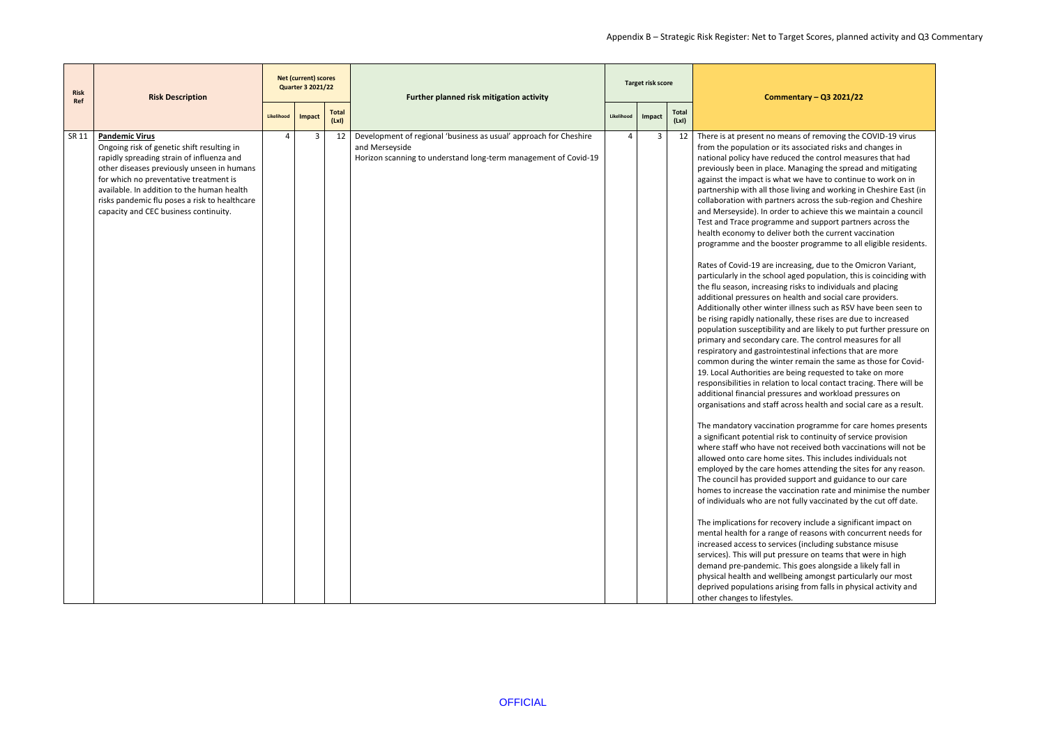ans of removing the COVID-19 virus associated risks and changes in ced the control measures that had Managing the spread and mitigating we have to continue to work on in living and working in Cheshire East (in rs across the sub-region and Cheshire to achieve this we maintain a council e and support partners across the r both the current vaccination ter programme to all eligible residents.

easing, due to the Omicron Variant, ged population, this is coinciding with risks to individuals and placing ealth and social care providers. illness such as RSV have been seen to these rises are due to increased and are likely to put further pressure on re. The control measures for all stinal infections that are more r remain the same as those for Covideing requested to take on more to local contact tracing. There will be res and workload pressures on ross health and social care as a result.

n programme for care homes presents to continuity of service provision received both vaccinations will not be ites. This includes individuals not hes attending the sites for any reason. support and guidance to our care cination rate and minimise the number fully vaccinated by the cut off date.

ery include a significant impact on of reasons with concurrent needs for es (including substance misuse ssure on teams that were in high his goes alongside a likely fall in eing amongst particularly our most ng from falls in physical activity and

| <b>Risk</b><br>Ref | <b>Risk Description</b>                                                                                                                                                                                                                                                                                                                          |            | <b>Net (current) scores</b><br><b>Quarter 3 2021/22</b> |                       | Further planned risk mitigation activity                                                                                                               | <b>Target risk score</b> |        |                      | <b>Comme</b>                                                                                                                                                                                                                                                                                                                                                                                                                                                                                                                                                                                                                                                                                                                                                                                                                                                                                                                                                                                                                                                                                                                                                                                                                                                                                     |  |
|--------------------|--------------------------------------------------------------------------------------------------------------------------------------------------------------------------------------------------------------------------------------------------------------------------------------------------------------------------------------------------|------------|---------------------------------------------------------|-----------------------|--------------------------------------------------------------------------------------------------------------------------------------------------------|--------------------------|--------|----------------------|--------------------------------------------------------------------------------------------------------------------------------------------------------------------------------------------------------------------------------------------------------------------------------------------------------------------------------------------------------------------------------------------------------------------------------------------------------------------------------------------------------------------------------------------------------------------------------------------------------------------------------------------------------------------------------------------------------------------------------------------------------------------------------------------------------------------------------------------------------------------------------------------------------------------------------------------------------------------------------------------------------------------------------------------------------------------------------------------------------------------------------------------------------------------------------------------------------------------------------------------------------------------------------------------------|--|
|                    |                                                                                                                                                                                                                                                                                                                                                  | Likelihood | Impact                                                  | <b>Total</b><br>(LxI) |                                                                                                                                                        | Likelihood               | Impact | <b>Total</b><br>(Lx) |                                                                                                                                                                                                                                                                                                                                                                                                                                                                                                                                                                                                                                                                                                                                                                                                                                                                                                                                                                                                                                                                                                                                                                                                                                                                                                  |  |
| SR 11              | <b>Pandemic Virus</b><br>Ongoing risk of genetic shift resulting in<br>rapidly spreading strain of influenza and<br>other diseases previously unseen in humans<br>for which no preventative treatment is<br>available. In addition to the human health<br>risks pandemic flu poses a risk to healthcare<br>capacity and CEC business continuity. | 4          | 3                                                       | 12                    | Development of regional 'business as usual' approach for Cheshire<br>and Merseyside<br>Horizon scanning to understand long-term management of Covid-19 | 4                        | 3      | 12                   | There is at present no mea<br>from the population or its<br>national policy have reduc<br>previously been in place. N<br>against the impact is what<br>partnership with all those I<br>collaboration with partner:<br>and Merseyside). In order t<br>Test and Trace programme<br>health economy to deliver<br>programme and the boost<br>Rates of Covid-19 are incre<br>particularly in the school a<br>the flu season, increasing r<br>additional pressures on he<br>Additionally other winter il<br>be rising rapidly nationally,<br>population susceptibility a<br>primary and secondary car<br>respiratory and gastrointes<br>common during the winter<br>19. Local Authorities are be<br>responsibilities in relation<br>additional financial pressui<br>organisations and staff acr<br>The mandatory vaccination<br>a significant potential risk t<br>where staff who have not i<br>allowed onto care home sit<br>employed by the care hom<br>The council has provided s<br>homes to increase the vace<br>of individuals who are not<br>The implications for recove<br>mental health for a range o<br>increased access to service<br>services). This will put pres<br>demand pre-pandemic. Th<br>physical health and wellbe<br>deprived populations arisir<br>other changes to lifestyles. |  |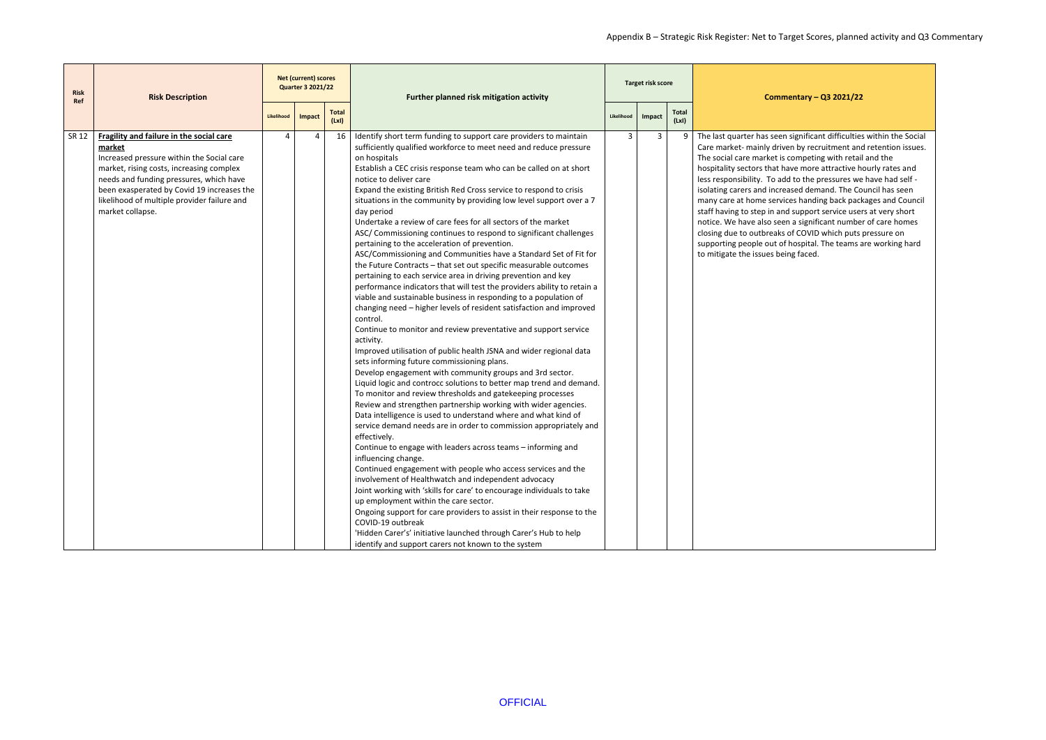significant difficulties within the Social en by recruitment and retention issues. competing with retail and the we more attractive hourly rates and I to the pressures we have had self ased demand. The Council has seen es handing back packages and Council I support service users at very short a significant number of care homes of COVID which puts pressure on hospital. The teams are working hard ng faced.

| <b>Risk</b><br><b>Ref</b> | <b>Risk Description</b>                                                                                                                                                                                                                                                                                 | <b>Net (current) scores</b><br><b>Quarter 3 2021/22</b> |                |                      | Further planned risk mitigation activity                                                                                                                                                                                                                                                                                                                                                                                                                                                                                                                                                                                                                                                                                                                                                                                                                                                                                                                                                                                                                                                                                                                                                                                                                                                                                                                                                                                                                                                                                                                                                                                                                                                                                                                                                                                                                                                                                                                                                                                                                                                                                                                                                                                                   |            | Target risk score |                      | <b>Comme</b>                                                                                                                                                                                                                                                                                                                                                              |
|---------------------------|---------------------------------------------------------------------------------------------------------------------------------------------------------------------------------------------------------------------------------------------------------------------------------------------------------|---------------------------------------------------------|----------------|----------------------|--------------------------------------------------------------------------------------------------------------------------------------------------------------------------------------------------------------------------------------------------------------------------------------------------------------------------------------------------------------------------------------------------------------------------------------------------------------------------------------------------------------------------------------------------------------------------------------------------------------------------------------------------------------------------------------------------------------------------------------------------------------------------------------------------------------------------------------------------------------------------------------------------------------------------------------------------------------------------------------------------------------------------------------------------------------------------------------------------------------------------------------------------------------------------------------------------------------------------------------------------------------------------------------------------------------------------------------------------------------------------------------------------------------------------------------------------------------------------------------------------------------------------------------------------------------------------------------------------------------------------------------------------------------------------------------------------------------------------------------------------------------------------------------------------------------------------------------------------------------------------------------------------------------------------------------------------------------------------------------------------------------------------------------------------------------------------------------------------------------------------------------------------------------------------------------------------------------------------------------------|------------|-------------------|----------------------|---------------------------------------------------------------------------------------------------------------------------------------------------------------------------------------------------------------------------------------------------------------------------------------------------------------------------------------------------------------------------|
|                           |                                                                                                                                                                                                                                                                                                         | Likelihood                                              | Impact         | <b>Total</b><br>(Lx) |                                                                                                                                                                                                                                                                                                                                                                                                                                                                                                                                                                                                                                                                                                                                                                                                                                                                                                                                                                                                                                                                                                                                                                                                                                                                                                                                                                                                                                                                                                                                                                                                                                                                                                                                                                                                                                                                                                                                                                                                                                                                                                                                                                                                                                            | Likelihood | Impact            | <b>Total</b><br>(Lx) |                                                                                                                                                                                                                                                                                                                                                                           |
| SR 12                     | Fragility and failure in the social care<br>market<br>Increased pressure within the Social care<br>market, rising costs, increasing complex<br>needs and funding pressures, which have<br>been exasperated by Covid 19 increases the<br>likelihood of multiple provider failure and<br>market collapse. | Δ                                                       | $\overline{4}$ | 16                   | Identify short term funding to support care providers to maintain<br>sufficiently qualified workforce to meet need and reduce pressure<br>on hospitals<br>Establish a CEC crisis response team who can be called on at short<br>notice to deliver care<br>Expand the existing British Red Cross service to respond to crisis<br>situations in the community by providing low level support over a 7<br>day period<br>Undertake a review of care fees for all sectors of the market<br>ASC/ Commissioning continues to respond to significant challenges<br>pertaining to the acceleration of prevention.<br>ASC/Commissioning and Communities have a Standard Set of Fit for<br>the Future Contracts - that set out specific measurable outcomes<br>pertaining to each service area in driving prevention and key<br>performance indicators that will test the providers ability to retain a<br>viable and sustainable business in responding to a population of<br>changing need - higher levels of resident satisfaction and improved<br>control.<br>Continue to monitor and review preventative and support service<br>activity.<br>Improved utilisation of public health JSNA and wider regional data<br>sets informing future commissioning plans.<br>Develop engagement with community groups and 3rd sector.<br>Liquid logic and controcc solutions to better map trend and demand.<br>To monitor and review thresholds and gatekeeping processes<br>Review and strengthen partnership working with wider agencies.<br>Data intelligence is used to understand where and what kind of<br>service demand needs are in order to commission appropriately and<br>effectively.<br>Continue to engage with leaders across teams - informing and<br>influencing change.<br>Continued engagement with people who access services and the<br>involvement of Healthwatch and independent advocacy<br>Joint working with 'skills for care' to encourage individuals to take<br>up employment within the care sector.<br>Ongoing support for care providers to assist in their response to the<br>COVID-19 outbreak<br>'Hidden Carer's' initiative launched through Carer's Hub to help<br>identify and support carers not known to the system | 3          | 3                 | 9                    | The last quarter has seen s<br>Care market- mainly drive<br>The social care market is c<br>hospitality sectors that hat<br>less responsibility. To add<br>isolating carers and increa<br>many care at home service<br>staff having to step in and<br>notice. We have also seen<br>closing due to outbreaks o<br>supporting people out of h<br>to mitigate the issues bein |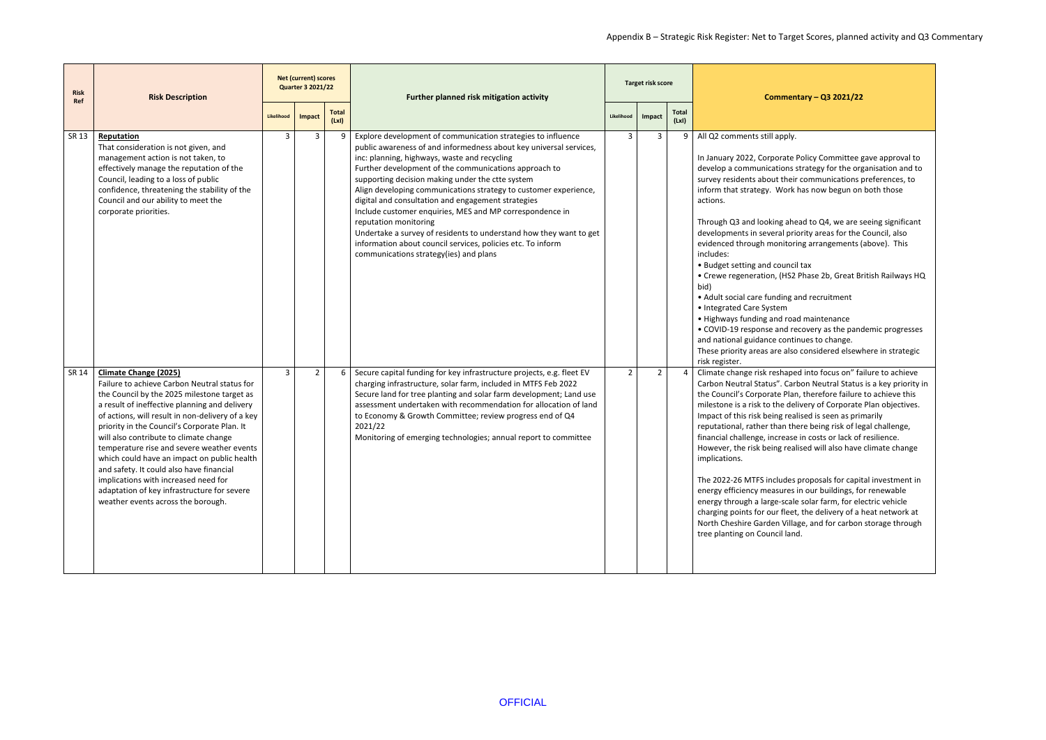## Appendix B – Strategic Risk Register: Net to Target Scores, planned activity and Q3 Commentary

# **Commentary – Q3 2021/22** Ite Policy Committee gave approval to ns strategy for the organisation and to eir communications preferences, to ink has now begun on both those head to Q4, we are seeing significant priority areas for the Council, also toring arrangements (above). This ncil tax S2 Phase 2b, Great British Railways HQ **a** and recruitment oad maintenance I recovery as the pandemic progresses ntinues to change. Ilso considered elsewhere in strategic aped into focus on" failure to achieve Carbon Neutral Status is a key priority in lan, therefore failure to achieve this delivery of Corporate Plan objectives. ealised is seen as primarily there being risk of legal challenge, ase in costs or lack of resilience. ealised will also have climate change les proposals for capital investment in es in our buildings, for renewable cale solar farm, for electric vehicle eet, the delivery of a heat network at illage, and for carbon storage through

| <b>Risk</b><br>Ref | <b>Risk Description</b>                                                                                                                                                                                                                                                                                                                                                                                                                                                                                                                                                                          |                | <b>Net (current) scores</b><br><b>Quarter 3 2021/22</b> |                      | Further planned risk mitigation activity                                                                                                                                                                                                                                                                                                                                                                                                                                                                                                                                                                                                                                                      |                | Target risk score |                      | Commenta                                                                                                                                                                                                                                                                                                                                                                                                                                                                                                                                                                               |
|--------------------|--------------------------------------------------------------------------------------------------------------------------------------------------------------------------------------------------------------------------------------------------------------------------------------------------------------------------------------------------------------------------------------------------------------------------------------------------------------------------------------------------------------------------------------------------------------------------------------------------|----------------|---------------------------------------------------------|----------------------|-----------------------------------------------------------------------------------------------------------------------------------------------------------------------------------------------------------------------------------------------------------------------------------------------------------------------------------------------------------------------------------------------------------------------------------------------------------------------------------------------------------------------------------------------------------------------------------------------------------------------------------------------------------------------------------------------|----------------|-------------------|----------------------|----------------------------------------------------------------------------------------------------------------------------------------------------------------------------------------------------------------------------------------------------------------------------------------------------------------------------------------------------------------------------------------------------------------------------------------------------------------------------------------------------------------------------------------------------------------------------------------|
|                    |                                                                                                                                                                                                                                                                                                                                                                                                                                                                                                                                                                                                  | Likelihood     | Impact                                                  | <b>Total</b><br>(Lx) |                                                                                                                                                                                                                                                                                                                                                                                                                                                                                                                                                                                                                                                                                               | Likelihood     | Impact            | <b>Total</b><br>(Lx) |                                                                                                                                                                                                                                                                                                                                                                                                                                                                                                                                                                                        |
| SR 13              | Reputation<br>That consideration is not given, and<br>management action is not taken, to<br>effectively manage the reputation of the<br>Council, leading to a loss of public<br>confidence, threatening the stability of the<br>Council and our ability to meet the<br>corporate priorities.                                                                                                                                                                                                                                                                                                     | 3              | 3                                                       | 9                    | Explore development of communication strategies to influence<br>public awareness of and informedness about key universal services,<br>inc: planning, highways, waste and recycling<br>Further development of the communications approach to<br>supporting decision making under the ctte system<br>Align developing communications strategy to customer experience,<br>digital and consultation and engagement strategies<br>Include customer enquiries, MES and MP correspondence in<br>reputation monitoring<br>Undertake a survey of residents to understand how they want to get<br>information about council services, policies etc. To inform<br>communications strategy(ies) and plans | 3              | 3                 |                      | All Q2 comments still apply.<br>In January 2022, Corporate Po<br>develop a communications sti<br>survey residents about their c<br>inform that strategy. Work ha<br>actions.<br>Through Q3 and looking ahea<br>developments in several prior<br>evidenced through monitoring<br>includes:<br>• Budget setting and council t<br>• Crewe regeneration, (HS2 P<br>bid)<br>• Adult social care funding an<br>• Integrated Care System<br>• Highways funding and road<br>· COVID-19 response and reco<br>and national guidance continu<br>These priority areas are also c<br>risk register. |
| SR 14              | <b>Climate Change (2025)</b><br>Failure to achieve Carbon Neutral status for<br>the Council by the 2025 milestone target as<br>a result of ineffective planning and delivery<br>of actions, will result in non-delivery of a key<br>priority in the Council's Corporate Plan. It<br>will also contribute to climate change<br>temperature rise and severe weather events<br>which could have an impact on public health<br>and safety. It could also have financial<br>implications with increased need for<br>adaptation of key infrastructure for severe<br>weather events across the borough. | $\overline{3}$ | $\overline{2}$                                          | 6                    | Secure capital funding for key infrastructure projects, e.g. fleet EV<br>charging infrastructure, solar farm, included in MTFS Feb 2022<br>Secure land for tree planting and solar farm development; Land use<br>assessment undertaken with recommendation for allocation of land<br>to Economy & Growth Committee; review progress end of Q4<br>2021/22<br>Monitoring of emerging technologies; annual report to committee                                                                                                                                                                                                                                                                   | $\overline{2}$ | $\overline{2}$    |                      | Climate change risk reshaped<br>Carbon Neutral Status". Carbo<br>the Council's Corporate Plan,<br>milestone is a risk to the deliv<br>Impact of this risk being realis<br>reputational, rather than ther<br>financial challenge, increase i<br>However, the risk being realis<br>implications.<br>The 2022-26 MTFS includes p<br>energy efficiency measures in<br>energy through a large-scale s<br>charging points for our fleet, t<br>North Cheshire Garden Village<br>tree planting on Council land.                                                                                |